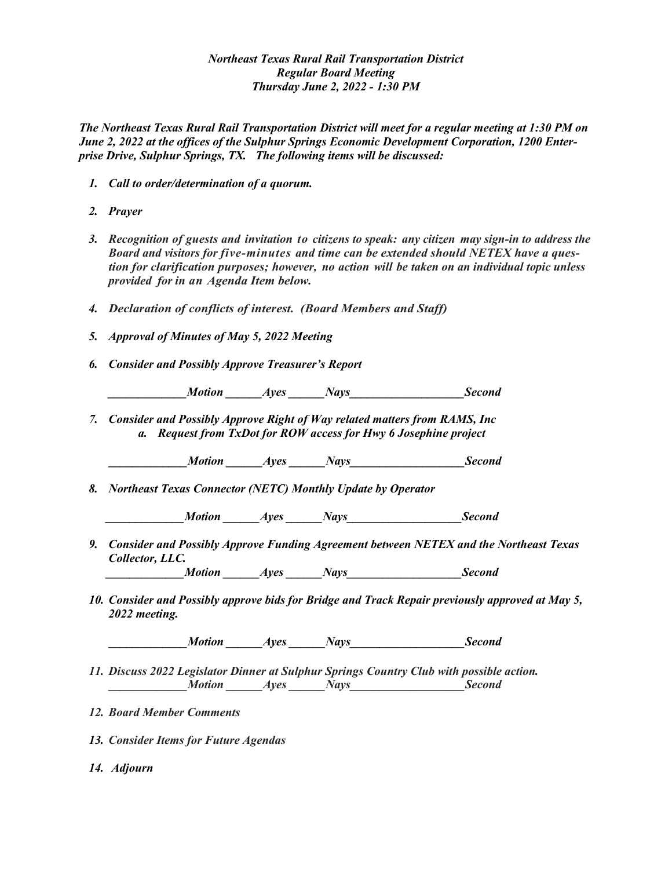## *Northeast Texas Rural Rail Transportation District Regular Board Meeting Thursday June 2, 2022 - 1:30 PM*

*The Northeast Texas Rural Rail Transportation District will meet for a regular meeting at 1:30 PM on June 2, 2022 at the offices of the Sulphur Springs Economic Development Corporation, 1200 Enterprise Drive, Sulphur Springs, TX. The following items will be discussed:*

- *1. Call to order/determination of a quorum.*
- *2. Prayer*
- *3. Recognition of guests and invitation to citizens to speak: any citizen may sign-in to address the Board and visitors for five-minutes and time can be extended should NETEX have a question for clarification purposes; however, no action will be taken on an individual topic unless provided for in an Agenda Item below.*
- *4. Declaration of conflicts of interest. (Board Members and Staff)*
- *5. Approval of Minutes of May 5, 2022 Meeting*
- *6. Consider and Possibly Approve Treasurer's Report*

*Ayes Nays* Second

*7. Consider and Possibly Approve Right of Way related matters from RAMS, Inc a. Request from TxDot for ROW access for Hwy 6 Josephine project*

*Motion Ayes Nays* Second

*8. Northeast Texas Connector (NETC) Monthly Update by Operator*

*Motion Ayes Nays* Second

*9. Consider and Possibly Approve Funding Agreement between NETEX and the Northeast Texas Collector, LLC.*

*Motion Ayes Nays* Second

*10. Consider and Possibly approve bids for Bridge and Track Repair previously approved at May 5, 2022 meeting.*

*A* Motion *Ayes Nays* Second

- *11. Discuss 2022 Legislator Dinner at Sulphur Springs Country Club with possible action. Motion Ayes Nays* Second
- *12. Board Member Comments*
- *13. Consider Items for Future Agendas*
- *14. Adjourn*